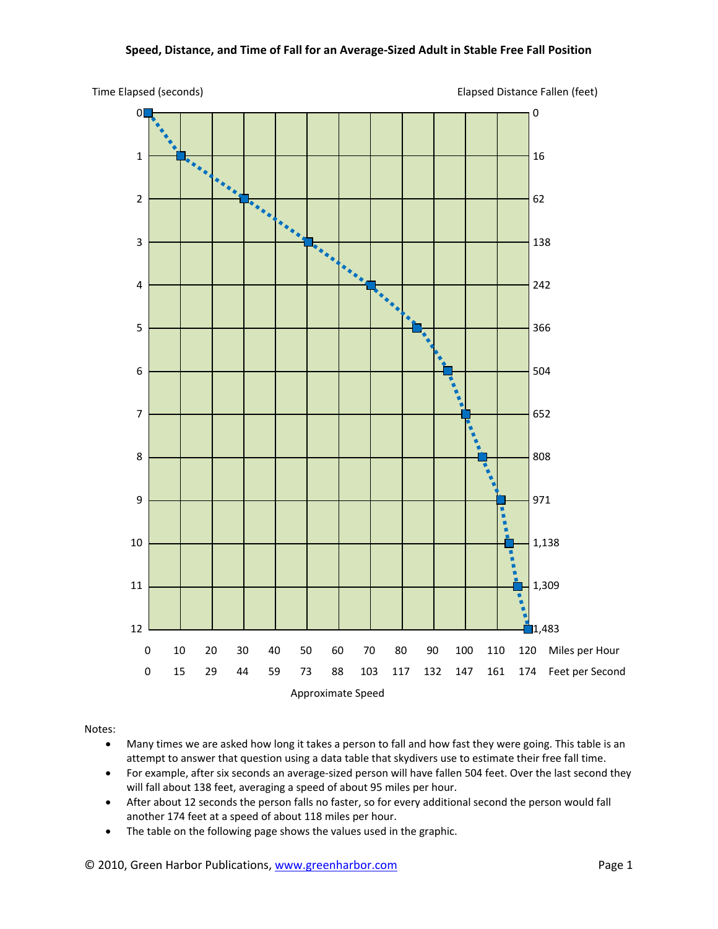## **Speed, Distance, and Time of Fall for an Average‐Sized Adult in Stable Free Fall Position**





Notes:

- Many times we are asked how long it takes a person to fall and how fast they were going. This table is an attempt to answer that question using a data table that skydivers use to estimate their free fall time.
- For example, after six seconds an average-sized person will have fallen 504 feet. Over the last second they will fall about 138 feet, averaging a speed of about 95 miles per hour.
- After about 12 seconds the person falls no faster, so for every additional second the person would fall another 174 feet at a speed of about 118 miles per hour.
- The table on the following page shows the values used in the graphic.

## © 2010, Green Harbor Publications, www.greenharbor.com **black** and the state of Page 1